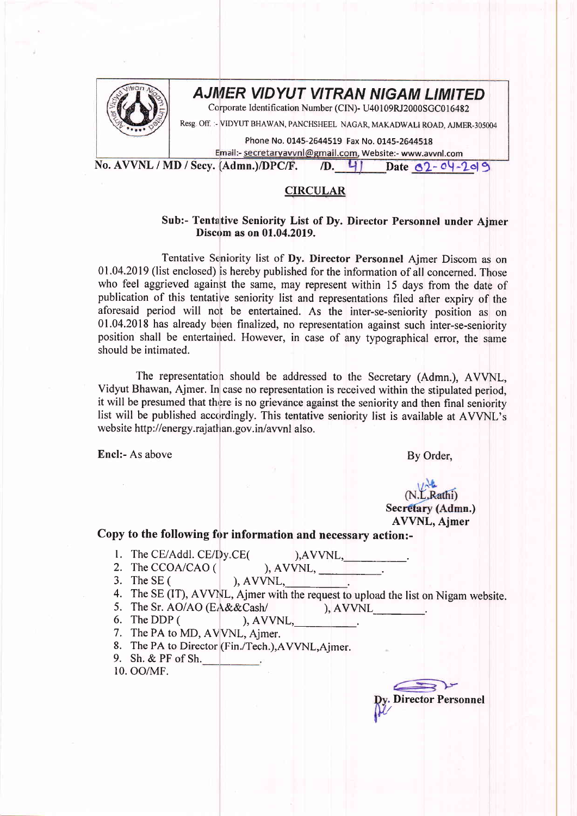

# AJMER VIDYUT VITRAN NIGAM LIMITED

Corporate Identification Number (CIN)- U40109RJ2000SGC016482

Resg. Off. :- VIDYUT BHAWAN, PANCHSHEEL NAGAR, MAKADWALI ROAD, AJMER-305004

Phone No. 0145-2644519 Fax No. 0145-2644518

Email:- secretaryavvnl@gmail.com, Website:- www.avvnl.com

No. AVVNL / MD / Secy. (Admn.)/DPC/F. /D.  $41$  Date 62- 04-20 9

### **CIRCULAR**

#### Sub:- Tentative Seniorify List of Dy. Director Personnel under Ajmer Discom as on 01.04.2019.

Tentative Seniority list of Dy. Director Personnel Ajmer Discom as on  $01.04.2019$  (list enclosed) is hereby published for the information of all concerned. Those who feel aggrieved against the same, may represent within 15 days from the date of publication of this tentative seniority list and representations filed after expiry of the aforesaid period will not be entertained. As the inter-se-seniority position as on 01.04.2018 has already been finalized, no representation against such inter-se-seniority position shall be entertained. However, in case of any typographical error, the same should be intimated.

The representation should be addressed to the Secretary (Admn.), AVVNL, Vidyut Bhawan, Ajmer. In case no representation is received within the stipulated period, it will be presumed that there is no grievance against the seniority and then final seniority list will be published accordingly. This tentative seniority list is available at AWNL's website http://energy.rajathan.gov.in/avvnl also.

Encl:- As above By Order,

## (N.L.Rathi) Secretary (Admn.) AVVNL, Ajmer

#### Copy to the following for information and necessary action:-

- 
- 1. The CE/Addl. CE/Dy.CE( ),AVVNL,<br>2. The CCOA/CAO ( ), AVVNL,
- 
- 3. The SE (  $AVVNL$ ,
- 4. The SE (IT), AVVNL, Ajmer with the request to upload the list on Nigam website.
- 5. The Sr.  $AO/AO$  (EA&&Cash/ ), AVVNL .
- 6. The DDP (
- $), AVVNL,$ 7. The PA to MD, AVVINL, Ajmer.
- 
- 8. The PA to Director (Fin./Tech.),AVVNL,Ajmer. 9. Sh. & PF of Sh.
- 10. oo/MF.

. Director Personnel